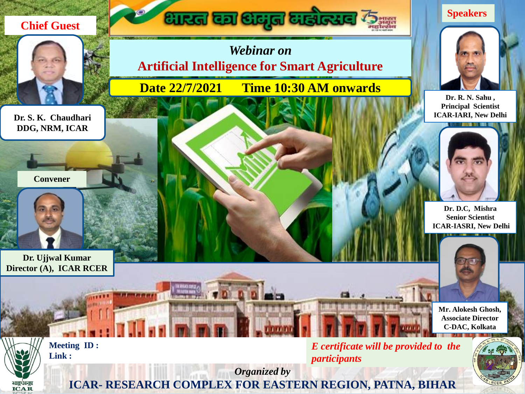